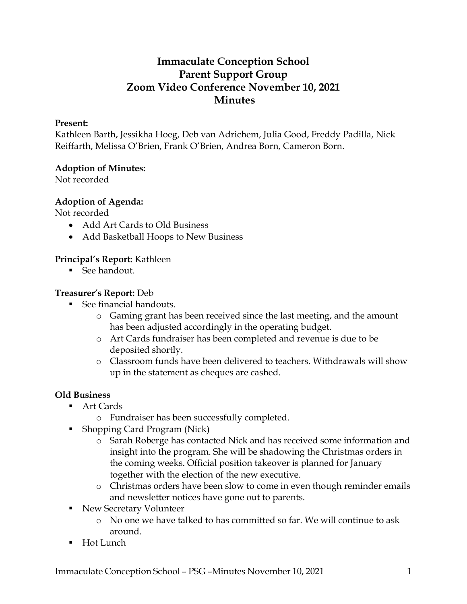# **Immaculate Conception School Parent Support Group Zoom Video Conference November 10, 2021 Minutes**

#### **Present:**

Kathleen Barth, Jessikha Hoeg, Deb van Adrichem, Julia Good, Freddy Padilla, Nick Reiffarth, Melissa O'Brien, Frank O'Brien, Andrea Born, Cameron Born.

#### **Adoption of Minutes:**

Not recorded

# **Adoption of Agenda:**

Not recorded

- Add Art Cards to Old Business
- Add Basketball Hoops to New Business

## **Principal's Report:** Kathleen

■ See handout

#### **Treasurer's Report:** Deb

- See financial handouts
	- o Gaming grant has been received since the last meeting, and the amount has been adjusted accordingly in the operating budget.
	- o Art Cards fundraiser has been completed and revenue is due to be deposited shortly.
	- o Classroom funds have been delivered to teachers. Withdrawals will show up in the statement as cheques are cashed.

# **Old Business**

- Art Cards
	- o Fundraiser has been successfully completed.
- Shopping Card Program (Nick)
	- o Sarah Roberge has contacted Nick and has received some information and insight into the program. She will be shadowing the Christmas orders in the coming weeks. Official position takeover is planned for January together with the election of the new executive.
	- o Christmas orders have been slow to come in even though reminder emails and newsletter notices have gone out to parents.
- New Secretary Volunteer
	- o No one we have talked to has committed so far. We will continue to ask around.
- Hot Lunch